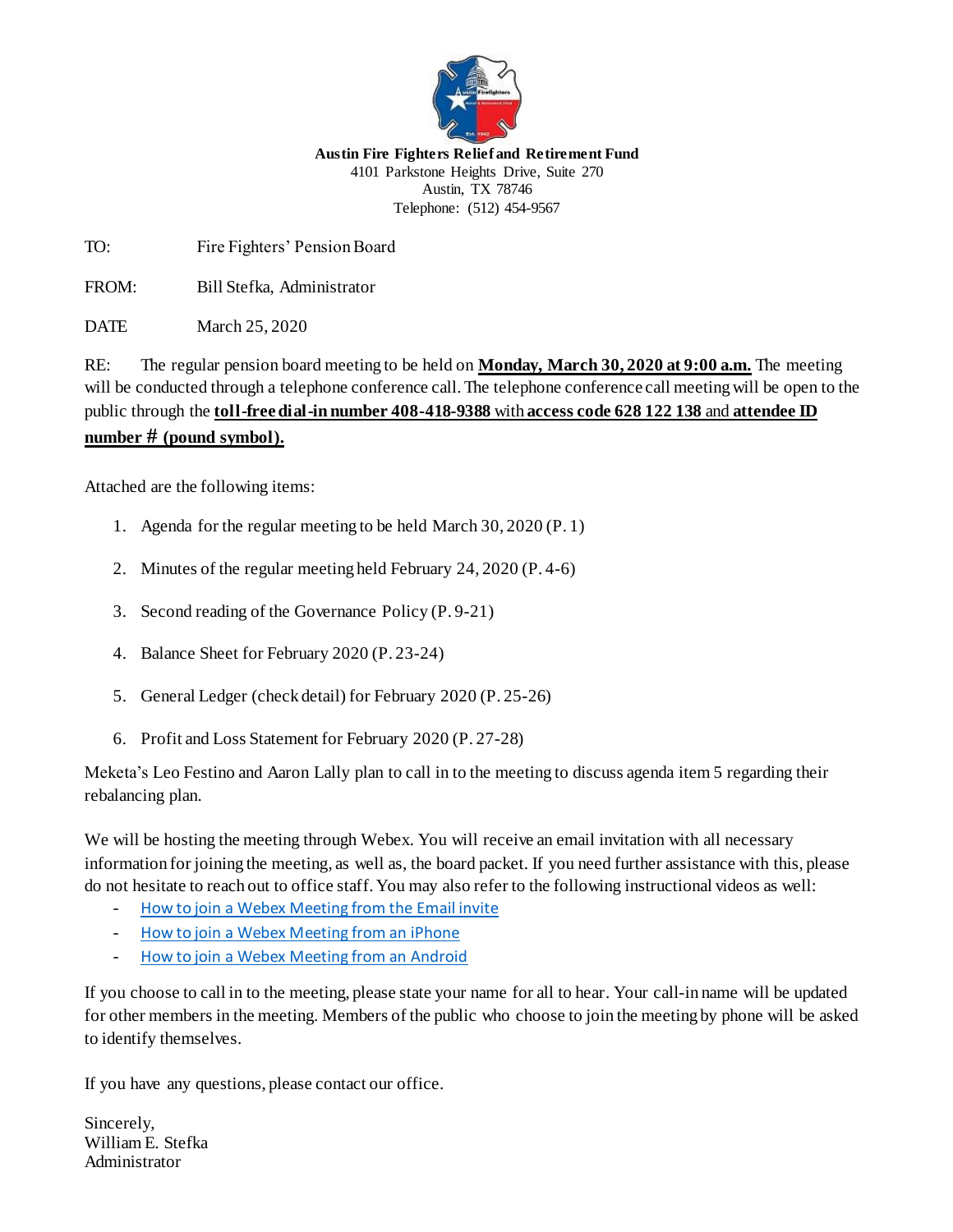

**Austin Fire Fighters Relief and Retirement Fund** 4101 Parkstone Heights Drive, Suite 270 Austin, TX 78746 Telephone: (512) 454-9567

TO: Fire Fighters' Pension Board

FROM: Bill Stefka, Administrator

DATE March 25, 2020

RE: The regular pension board meeting to be held on **Monday, March 30, 2020 at 9:00 a.m.** The meeting will be conducted through a telephone conference call. The telephone conference call meeting will be open to the public through the **toll-free dial-in number 408-418-9388** with **access code 628 122 138** and **attendee ID number # (pound symbol).**

Attached are the following items:

- 1. Agenda for the regular meeting to be held March 30, 2020 (P. 1)
- 2. Minutes of the regular meeting held February 24, 2020 (P. 4-6)
- 3. Second reading of the Governance Policy (P. 9-21)
- 4. Balance Sheet for February 2020 (P. 23-24)
- 5. General Ledger (check detail) for February 2020 (P. 25-26)
- 6. Profit and Loss Statement for February 2020 (P. 27-28)

Meketa's Leo Festino and Aaron Lally plan to call in to the meeting to discuss agenda item 5 regarding their rebalancing plan.

We will be hosting the meeting through Webex. You will receive an email invitation with all necessary information for joining the meeting, as well as, the board packet. If you need further assistance with this, please do not hesitate to reach out to office staff. You may also refer to the following instructional videos as well:

- [How to join a Webex Meeting from the Email invite](https://www.youtube.com/watch?v=fE5FnEUKtaE)
- [How to join a Webex Meeting from an iPhone](https://www.youtube.com/watch?v=rbLABQEhYkw)
- [How to join a Webex Meeting from an Android](https://www.youtube.com/watch?v=8jcBswuDaGk)

If you choose to call in to the meeting, please state your name for all to hear. Your call-in name will be updated for other members in the meeting. Members of the public who choose to join the meeting by phone will be asked to identify themselves.

If you have any questions, please contact our office.

Sincerely, William E. Stefka Administrator